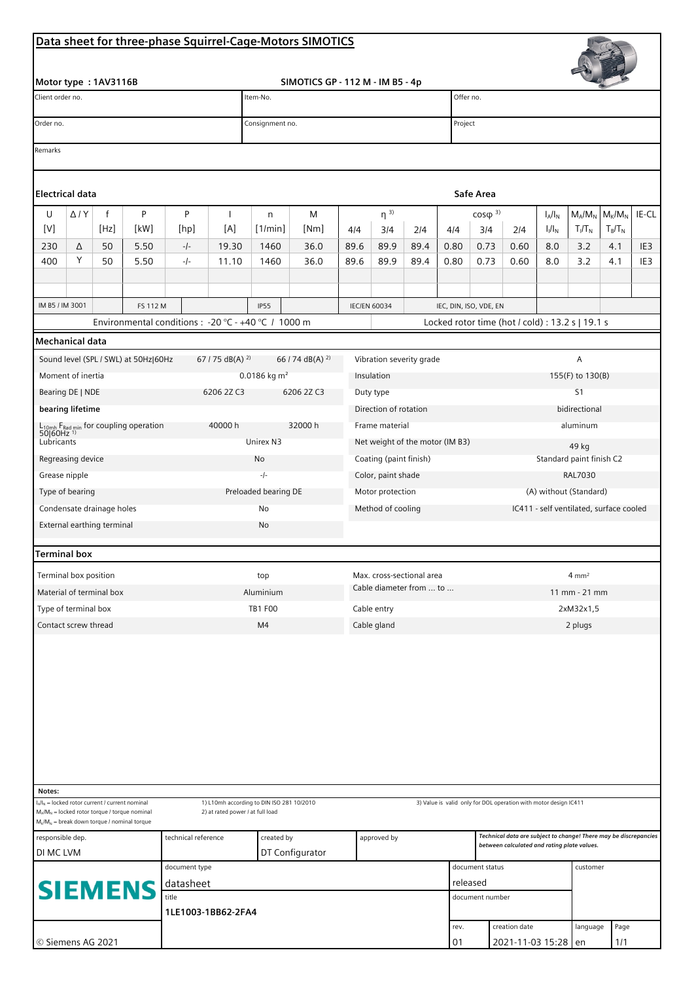## **Data sheet for three-phase Squirrel-Cage-Motors SIMOTICS**

|                                                                                                                                                                                                                                                           |                |                                                    |                                                                                                    |       |                                           |                                    | Data sheet for three-phase Squirrel-Cage-Motors SIMOTICS |                           |                                 |                          |                                                                            |                                                                                                                 |                                                                  |                                         |           |           |                        |  |  |
|-----------------------------------------------------------------------------------------------------------------------------------------------------------------------------------------------------------------------------------------------------------|----------------|----------------------------------------------------|----------------------------------------------------------------------------------------------------|-------|-------------------------------------------|------------------------------------|----------------------------------------------------------|---------------------------|---------------------------------|--------------------------|----------------------------------------------------------------------------|-----------------------------------------------------------------------------------------------------------------|------------------------------------------------------------------|-----------------------------------------|-----------|-----------|------------------------|--|--|
|                                                                                                                                                                                                                                                           |                |                                                    |                                                                                                    |       |                                           |                                    |                                                          |                           |                                 |                          |                                                                            |                                                                                                                 |                                                                  |                                         |           |           |                        |  |  |
| Motor type: 1AV3116B                                                                                                                                                                                                                                      |                |                                                    |                                                                                                    |       |                                           | SIMOTICS GP - 112 M - IM B5 - 4p   |                                                          |                           |                                 |                          |                                                                            |                                                                                                                 |                                                                  |                                         |           |           |                        |  |  |
| Client order no.                                                                                                                                                                                                                                          |                |                                                    |                                                                                                    |       |                                           | Item-No.                           |                                                          |                           |                                 |                          |                                                                            | Offer no.                                                                                                       |                                                                  |                                         |           |           |                        |  |  |
| Order no.                                                                                                                                                                                                                                                 |                |                                                    |                                                                                                    |       |                                           | Consignment no.                    |                                                          |                           |                                 |                          |                                                                            | Project                                                                                                         |                                                                  |                                         |           |           |                        |  |  |
| Remarks                                                                                                                                                                                                                                                   |                |                                                    |                                                                                                    |       |                                           |                                    |                                                          |                           |                                 |                          |                                                                            |                                                                                                                 |                                                                  |                                         |           |           |                        |  |  |
|                                                                                                                                                                                                                                                           |                |                                                    |                                                                                                    |       |                                           |                                    |                                                          |                           |                                 |                          |                                                                            |                                                                                                                 |                                                                  |                                         |           |           |                        |  |  |
| Electrical data                                                                                                                                                                                                                                           |                |                                                    |                                                                                                    |       |                                           |                                    |                                                          |                           |                                 |                          |                                                                            | Safe Area                                                                                                       |                                                                  |                                         |           |           |                        |  |  |
| U                                                                                                                                                                                                                                                         | $\Delta$ / $Y$ | f                                                  | P                                                                                                  | P     | ı                                         | n                                  | M                                                        |                           | $\eta^{3)}$                     |                          |                                                                            |                                                                                                                 | $M_A/M_N$<br>$\cos\varphi^{3}$<br>$I_A/I_N$                      |                                         |           |           | $M_{K}/M_{N}$<br>IE-CL |  |  |
| $[V] \centering% \includegraphics[width=1.0\textwidth]{images/TrDiM1.png} \caption{The 3D (top) and the 4D (bottom) of the 3D (bottom) and the 4D (bottom) of the 3D (bottom) and the 4D (bottom) of the 3D (bottom) of the 3D (bottom).} \label{TrDiM1}$ |                | [Hz]                                               | [kW]                                                                                               | [hp]  | [A]                                       | [1/min]                            | [Nm]                                                     | 4/4                       | 3/4                             | 2/4                      | 4/4                                                                        | 3/4                                                                                                             | 2/4                                                              | $I_1/I_N$                               | $T_I/T_N$ | $T_B/T_N$ |                        |  |  |
| 230                                                                                                                                                                                                                                                       | Δ              | 50                                                 | 5.50                                                                                               | $-/-$ | 19.30                                     | 1460                               | 36.0                                                     | 89.6                      | 89.9                            | 89.4                     | 0.80                                                                       | 0.73                                                                                                            | 0.60                                                             | 8.0                                     | 3.2       | 4.1       | IE <sub>3</sub>        |  |  |
| 400                                                                                                                                                                                                                                                       | Υ              | 50                                                 | 5.50                                                                                               | $-/-$ | 11.10                                     | 1460                               | 36.0                                                     | 89.6                      | 89.9                            | 89.4                     | 0.80                                                                       | 0.73                                                                                                            | 0.60                                                             | 8.0                                     | 3.2       | 4.1       | IE <sub>3</sub>        |  |  |
|                                                                                                                                                                                                                                                           |                |                                                    |                                                                                                    |       |                                           |                                    |                                                          |                           |                                 |                          |                                                                            |                                                                                                                 |                                                                  |                                         |           |           |                        |  |  |
| IM B5 / IM 3001<br>FS 112 M<br>Environmental conditions : - 20 °C - +40 °C / 1000 m                                                                                                                                                                       |                |                                                    |                                                                                                    |       |                                           | <b>IP55</b><br><b>IEC/EN 60034</b> |                                                          |                           |                                 |                          | IEC, DIN, ISO, VDE, EN<br>Locked rotor time (hot / cold) : 13.2 s   19.1 s |                                                                                                                 |                                                                  |                                         |           |           |                        |  |  |
| Mechanical data                                                                                                                                                                                                                                           |                |                                                    |                                                                                                    |       |                                           |                                    |                                                          |                           |                                 |                          |                                                                            |                                                                                                                 |                                                                  |                                         |           |           |                        |  |  |
|                                                                                                                                                                                                                                                           |                |                                                    |                                                                                                    |       | 67 / 75 dB(A) $^{2)}$                     |                                    | 66 / 74 dB(A) $^{2}$                                     |                           |                                 | Vibration severity grade |                                                                            |                                                                                                                 |                                                                  |                                         | A         |           |                        |  |  |
| Sound level (SPL / SWL) at 50Hz 60Hz<br>Moment of inertia                                                                                                                                                                                                 |                |                                                    |                                                                                                    |       |                                           | 0.0186 kg $m^2$                    |                                                          |                           | Insulation                      |                          |                                                                            |                                                                                                                 | 155(F) to 130(B)                                                 |                                         |           |           |                        |  |  |
| Bearing DE   NDE<br>6206 2Z C3                                                                                                                                                                                                                            |                |                                                    |                                                                                                    |       |                                           |                                    | 6206 2Z C3                                               |                           | Duty type                       |                          |                                                                            |                                                                                                                 | S <sub>1</sub>                                                   |                                         |           |           |                        |  |  |
| bearing lifetime                                                                                                                                                                                                                                          |                |                                                    |                                                                                                    |       |                                           |                                    |                                                          |                           | Direction of rotation           |                          |                                                                            |                                                                                                                 | bidirectional                                                    |                                         |           |           |                        |  |  |
| $L_{10mh}$ F <sub>Rad min</sub> for coupling operation<br>50 60Hz <sup>1)</sup><br>40000 h                                                                                                                                                                |                |                                                    |                                                                                                    |       |                                           |                                    | 32000 h                                                  |                           | Frame material                  |                          |                                                                            |                                                                                                                 | aluminum                                                         |                                         |           |           |                        |  |  |
| Lubricants                                                                                                                                                                                                                                                |                |                                                    |                                                                                                    |       |                                           | Unirex N3                          |                                                          |                           | Net weight of the motor (IM B3) |                          |                                                                            |                                                                                                                 |                                                                  | 49 kg                                   |           |           |                        |  |  |
| Regreasing device                                                                                                                                                                                                                                         |                |                                                    |                                                                                                    |       |                                           | No                                 |                                                          |                           | Coating (paint finish)          |                          |                                                                            |                                                                                                                 |                                                                  | Standard paint finish C2                |           |           |                        |  |  |
| Grease nipple                                                                                                                                                                                                                                             |                |                                                    |                                                                                                    |       |                                           | $-1-$                              |                                                          | Color, paint shade        |                                 |                          |                                                                            | <b>RAL7030</b>                                                                                                  |                                                                  |                                         |           |           |                        |  |  |
| Type of bearing                                                                                                                                                                                                                                           |                |                                                    |                                                                                                    |       |                                           | Preloaded bearing DE               |                                                          | Motor protection          |                                 |                          |                                                                            |                                                                                                                 | (A) without (Standard)                                           |                                         |           |           |                        |  |  |
| Condensate drainage holes                                                                                                                                                                                                                                 |                |                                                    |                                                                                                    |       | No                                        |                                    |                                                          |                           | Method of cooling               |                          |                                                                            |                                                                                                                 |                                                                  | IC411 - self ventilated, surface cooled |           |           |                        |  |  |
| External earthing terminal                                                                                                                                                                                                                                |                |                                                    |                                                                                                    |       |                                           | No                                 |                                                          |                           |                                 |                          |                                                                            |                                                                                                                 |                                                                  |                                         |           |           |                        |  |  |
| Terminal box                                                                                                                                                                                                                                              |                |                                                    |                                                                                                    |       |                                           |                                    |                                                          |                           |                                 |                          |                                                                            |                                                                                                                 |                                                                  |                                         |           |           |                        |  |  |
| Terminal box position                                                                                                                                                                                                                                     |                |                                                    |                                                                                                    |       |                                           | top                                |                                                          | Max. cross-sectional area |                                 |                          |                                                                            | $4 \text{ mm}^2$                                                                                                |                                                                  |                                         |           |           |                        |  |  |
| Material of terminal box                                                                                                                                                                                                                                  |                |                                                    |                                                                                                    |       |                                           | Aluminium                          |                                                          |                           | Cable diameter from  to         |                          |                                                                            |                                                                                                                 | 11 mm - 21 mm                                                    |                                         |           |           |                        |  |  |
| Type of terminal box                                                                                                                                                                                                                                      |                |                                                    |                                                                                                    |       |                                           | <b>TB1 F00</b>                     |                                                          |                           | Cable entry                     |                          |                                                                            |                                                                                                                 | 2xM32x1,5                                                        |                                         |           |           |                        |  |  |
| Contact screw thread                                                                                                                                                                                                                                      |                |                                                    |                                                                                                    |       |                                           | M4                                 |                                                          |                           | Cable gland                     |                          |                                                                            |                                                                                                                 | 2 plugs                                                          |                                         |           |           |                        |  |  |
|                                                                                                                                                                                                                                                           |                |                                                    |                                                                                                    |       |                                           |                                    |                                                          |                           |                                 |                          |                                                                            |                                                                                                                 |                                                                  |                                         |           |           |                        |  |  |
|                                                                                                                                                                                                                                                           |                |                                                    |                                                                                                    |       |                                           |                                    |                                                          |                           |                                 |                          |                                                                            |                                                                                                                 |                                                                  |                                         |           |           |                        |  |  |
| Notes:                                                                                                                                                                                                                                                    |                | $I_A/I_N$ = locked rotor current / current nominal |                                                                                                    |       | 1) L10mh according to DIN ISO 281 10/2010 |                                    |                                                          |                           |                                 |                          |                                                                            |                                                                                                                 | 3) Value is valid only for DOL operation with motor design IC411 |                                         |           |           |                        |  |  |
|                                                                                                                                                                                                                                                           |                |                                                    | $M_A/M_N$ = locked rotor torque / torque nominal<br>$M_K/M_N$ = break down torque / nominal torque |       | 2) at rated power / at full load          |                                    |                                                          |                           |                                 |                          |                                                                            |                                                                                                                 |                                                                  |                                         |           |           |                        |  |  |
| technical reference<br>responsible dep.                                                                                                                                                                                                                   |                |                                                    |                                                                                                    |       |                                           | created by                         |                                                          |                           | approved by                     |                          |                                                                            | Technical data are subject to change! There may be discrepancies<br>between calculated and rating plate values. |                                                                  |                                         |           |           |                        |  |  |
| DI MC LVM                                                                                                                                                                                                                                                 |                |                                                    |                                                                                                    |       |                                           |                                    | DT Configurator                                          |                           |                                 |                          |                                                                            |                                                                                                                 |                                                                  |                                         |           |           |                        |  |  |
| document type                                                                                                                                                                                                                                             |                |                                                    |                                                                                                    |       |                                           |                                    |                                                          |                           | document status                 |                          |                                                                            |                                                                                                                 |                                                                  | customer                                |           |           |                        |  |  |
| datasheet<br><b>SIEMENS</b><br>title                                                                                                                                                                                                                      |                |                                                    |                                                                                                    |       |                                           |                                    |                                                          |                           |                                 |                          |                                                                            | released<br>document number                                                                                     |                                                                  |                                         |           |           |                        |  |  |
| 1LE1003-1BB62-2FA4                                                                                                                                                                                                                                        |                |                                                    |                                                                                                    |       |                                           |                                    |                                                          |                           |                                 |                          |                                                                            |                                                                                                                 |                                                                  |                                         |           |           |                        |  |  |
|                                                                                                                                                                                                                                                           |                |                                                    |                                                                                                    |       |                                           |                                    |                                                          |                           |                                 |                          | rev.                                                                       |                                                                                                                 | creation date                                                    |                                         | language  | Page      |                        |  |  |
| © Siemens AG 2021                                                                                                                                                                                                                                         |                |                                                    |                                                                                                    |       |                                           |                                    |                                                          |                           |                                 |                          |                                                                            |                                                                                                                 | 2021-11-03 15:28 en                                              |                                         |           | 1/1       |                        |  |  |